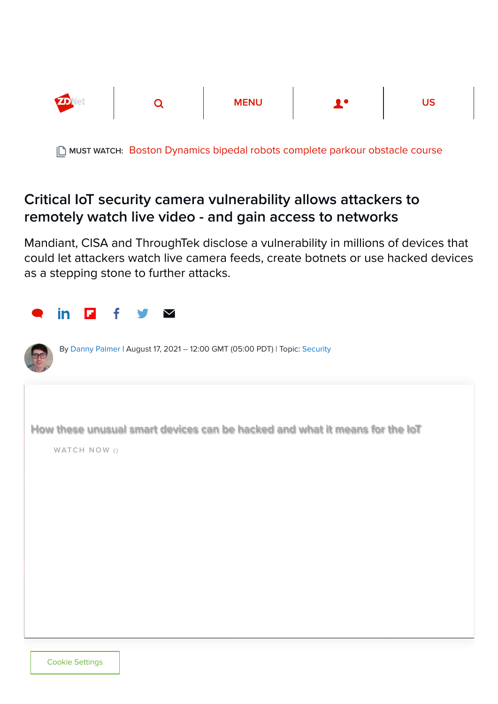

MUST WATCH: [Boston Dynamics bipedal robots complete parkour obstacle course](https://www.zdnet.com/article/watch-boston-dynamics-bipedal-robots-nail-this-parkour-obstacle-course/)

## Critical IoT security camera vulnerability allows attackers to remotely watch live video - and gain access to networks

Mandiant, CISA and ThroughTek disclose a vulnerability in millions of devices that could let attackers watch live camera feeds, create botnets or use hacked devices as a stepping stone to further attacks.

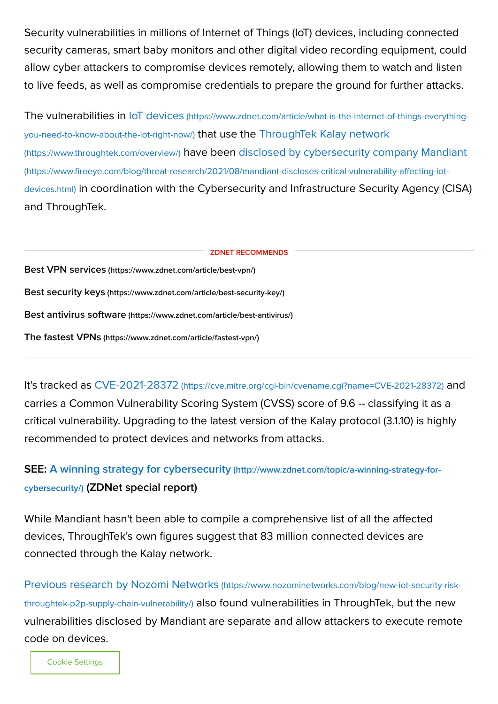Security vulnerabilities in millions of Internet of Things (IoT) devices, including connected security cameras, smart baby monitors and other digital video recording equipment, could allow cyber attackers to compromise devices remotely, allowing them to watch and listen to live feeds, as well as compromise credentials to prepare the ground for further attacks.

The vulnerabilities in IoT devices [\(https://www.zdnet.com/article/what-is-the-internet-of-things-everything](https://www.zdnet.com/article/what-is-the-internet-of-things-everything-you-need-to-know-about-the-iot-right-now/)you-need-to-know-about-the-iot-right-now/) that use the ThroughTek Kalay network (https://www.throughtek.com/overview/) [have been disclosed by cybersecurity com](https://www.throughtek.com/overview/)pany Mandiant (https://www.fireeye.com/blog/threat-research/2021/08/mandiant-discloses-critical-vulnerability-affecting-iotdevices.html) [in coordination with the Cybersecurity and Infrastructure Security Agency \(CISA](https://www.fireeye.com/blog/threat-research/2021/08/mandiant-discloses-critical-vulnerability-affecting-iot-devices.html)) and ThroughTek.

Best VPN services [\(https://www.zdnet.com/article/best-vpn/\)](https://www.zdnet.com/article/best-vpn/) Best security keys [\(https://www.zdnet.com/article/best-security-key/\)](https://www.zdnet.com/article/best-security-key/) Best antivirus software [\(https://www.zdnet.com/article/best-antivirus/\)](https://www.zdnet.com/article/best-antivirus/) The fastest VPNs [\(https://www.zdnet.com/article/fastest-vpn/\)](https://www.zdnet.com/article/fastest-vpn/) ZDNET RECOMMENDS

It's tracked as CVE-2021-28372 [\(https://cve.mitre.org/cgi-bin/cvename.cgi?name=CVE-2021-28372\)](https://cve.mitre.org/cgi-bin/cvename.cgi?name=CVE-2021-28372) and carries a Common Vulnerability Scoring System (CVSS) score of 9.6 -- classifying it as a critical vulnerability. Upgrading to the latest version of the Kalay protocol (3.1.10) is highly recommended to protect devices and networks from attacks.

## [SEE: A winning strategy for cybersecurity](http://www.zdnet.com/topic/a-winning-strategy-for-cybersecurity/) (http://www.zdnet.com/topic/a-winning-strategy-forcybersecurity/) (ZDNet special report)

While Mandiant hasn't been able to compile a comprehensive list of all the affected devices, ThroughTek's own figures suggest that 83 million connected devices are connected through the Kalay network.

Previous research by Nozomi Networks (https://www.nozominetworks.com/blog/new-iot-security-riskthroughtek-p2p-supply-chain-vulnerability/) [also found vulnerabilities in ThroughTek, but the new](https://www.nozominetworks.com/blog/new-iot-security-risk-throughtek-p2p-supply-chain-vulnerability/) vulnerabilities disclosed by Mandiant are separate and allow attackers to execute remote code on devices.

Cookie Settings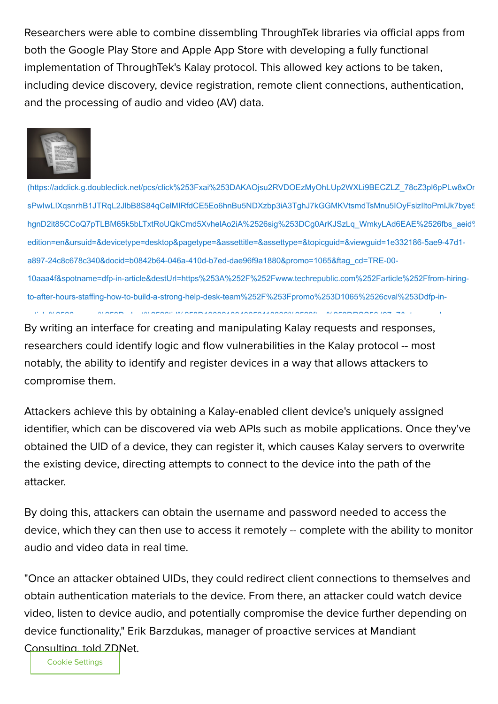Researchers were able to combine dissembling ThroughTek libraries via official apps from both the Google Play Store and Apple App Store with developing a fully functional implementation of ThroughTek's Kalay protocol. This allowed key actions to be taken, including device discovery, device registration, remote client connections, authentication, and the processing of audio and video (AV) data.



[\(https://adclick.g.doubleclick.net/pcs/click%253Fxai%253DAKAOjsu2RVDOEzMyOhLUp2WXLi9BECZLZ\\_78cZ3pl6pPLw8xOn](https://adclick.g.doubleclick.net/pcs/click%253Fxai%253DAKAOjsu2RVDOEzMyOhLUp2WXLi9BECZLZ_78cZ3pl6pPLw8xOn1CTiqm0qxI_ccxrMuHzjZXpJTzjixTiMkntqZ1H2-sPwIwLIXqsnrhB1JTRqL2JlbB8S84qCelMIRfdCE5Eo6hnBu5NDXzbp3iA3TghJ7kGGMKVtsmdTsMnu5IOyFsizIltoPmIJk7bye541eBKAfHYseTg2ufamRAmrbT8j5DVo42aV1pAqjcOtVYzWfiJZjC7h8cTIKaFVb5NW103zV2nyQ6Ot8craW3RcN6EG-hgnD2it85CCoQ7pTLBM65k5bLTxtRoUQkCmd5XvhelAo2iA%2526sig%253DCg0ArKJSzLq_WmkyLAd6EAE%2526fbs_aeid%253D%255Bgw_fbsaeid%255D%2526urlfix%253D1%2526adurl%253Dhttps://lnk.techrepublic.com/redir?edition=en&ursuid=&devicetype=desktop&pagetype=&assettitle=&assettype=&topicguid=&viewguid=1e332186-5ae9-47d1-a897-24c8c678c340&docid=b0842b64-046a-410d-b7ed-dae96f9a1880&promo=1065&ftag_cd=TRE-00-10aaa4f&spotname=dfp-in-article&destUrl=https%253A%252F%252Fwww.techrepublic.com%252Farticle%252Ffrom-hiring-to-after-hours-staffing-how-to-build-a-strong-help-desk-team%252F%253Fpromo%253D1065%2526cval%253Ddfp-in-article%2526source%253Dzdnet%2526tid%253D1908210840056118336%2523ftag%253DRSS56d97e7&ctag=medc-proxy&siteId=&rsid=cnetzdnetglobalsite&sl=&sc=us&assetguid=&q=&cval=b0842b64-046a-410d-b7ed-dae96f9a1880;1065&ttag=&bhid=&poolid=100&tid=1908210840056118336) sPwIwLIXqsnrhB1JTRqL2JlbB8S84qCelMIRfdCE5Eo6hnBu5NDXzbp3iA3TghJ7kGGMKVtsmdTsMnu5IOyFsizIltoPmIJk7bye5 hgnD2it85CCoQ7pTLBM65k5bLTxtRoUQkCmd5XvhelAo2iA%2526sig%253DCg0ArKJSzLq\_WmkyLAd6EAE%2526fbs\_aeid% edition=en&ursuid=&devicetype=desktop&pagetype=&assettitle=&assettype=&topicguid=&viewguid=1e332186-5ae9-47d1 a897-24c8c678c340&docid=b0842b64-046a-410d-b7ed-dae96f9a1880&promo=1065&ftag\_cd=TRE-00- 10aaa4f&spotname=dfp-in-article&destUrl=https%253A%252F%252Fwww.techrepublic.com%252Farticle%252Ffrom-hiringto-after-hours-staffing-how-to-build-a-strong-help-desk-team%252F%253Fpromo%253D1065%2526cval%253Ddfp-inti l %2526 %253D d t%2526tid%253D1908210840056118336%2523ft %253DRSS56d97 7& t d

By writing an interface for creating and manipulating Kalay requests and responses, researchers could identify logic and flow vulnerabilities in the Kalay protocol -- most notably, the ability to identify and register devices in a way that allows attackers to compromise them.

Attackers achieve this by obtaining a Kalay-enabled client device's uniquely assigned identifier, which can be discovered via web APIs such as mobile applications. Once they've obtained the UID of a device, they can register it, which causes Kalay servers to overwrite the existing device, directing attempts to connect to the device into the path of the attacker.

By doing this, attackers can obtain the username and password needed to access the device, which they can then use to access it remotely -- complete with the ability to monitor audio and video data in real time.

"Once an attacker obtained UIDs, they could redirect client connections to themselves and obtain authentication materials to the device. From there, an attacker could watch device video, listen to device audio, and potentially compromise the device further depending on device functionality," Erik Barzdukas, manager of proactive services at Mandiant Consulting, told ZDNet.

Cookie Settings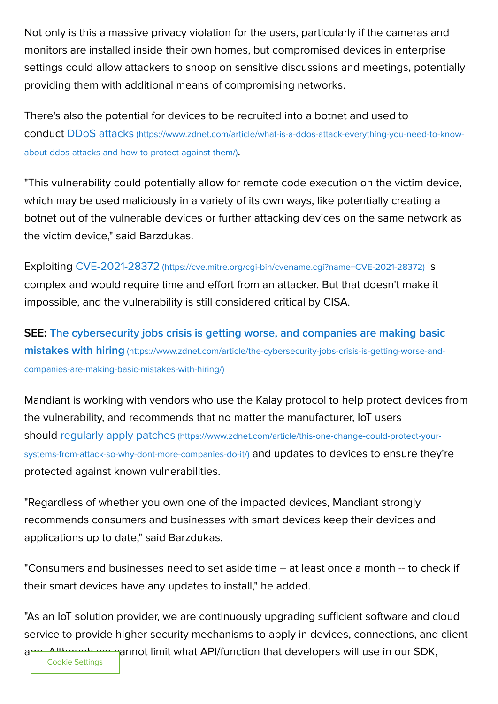Not only is this a massive privacy violation for the users, particularly if the cameras and monitors are installed inside their own homes, but compromised devices in enterprise settings could allow attackers to snoop on sensitive discussions and meetings, potentially providing them with additional means of compromising networks.

There's also the potential for devices to be recruited into a botnet and used to conduct DDoS attacks [\(https://www.zdnet.com/article/what-is-a-ddos-attack-everything-you-need-to-know](https://www.zdnet.com/article/what-is-a-ddos-attack-everything-you-need-to-know-about-ddos-attacks-and-how-to-protect-against-them/)about-ddos-attacks-and-how-to-protect-against-them/).

"This vulnerability could potentially allow for remote code execution on the victim device, which may be used maliciously in a variety of its own ways, like potentially creating a botnet out of the vulnerable devices or further attacking devices on the same network as the victim device," said Barzdukas.

Exploiting CVE-2021-28372 [\(https://cve.mitre.org/cgi-bin/cvename.cgi?name=CVE-2021-28372\)](https://cve.mitre.org/cgi-bin/cvename.cgi?name=CVE-2021-28372) is complex and would require time and effort from an attacker. But that doesn't make it impossible, and the vulnerability is still considered critical by CISA.

[SEE: The cybersecurity jobs crisis is getting worse, and companies are making basic](https://www.zdnet.com/article/the-cybersecurity-jobs-crisis-is-getting-worse-and-companies-are-making-basic-mistakes-with-hiring/) mistakes with hiring (https://www.zdnet.com/article/the-cybersecurity-jobs-crisis-is-getting-worse-andcompanies-are-making-basic-mistakes-with-hiring/)

Mandiant is working with vendors who use the Kalay protocol to help protect devices from the vulnerability, and recommends that no matter the manufacturer, IoT users should regularly apply patches [\(https://www.zdnet.com/article/this-one-change-could-protect-your](https://www.zdnet.com/article/this-one-change-could-protect-your-systems-from-attack-so-why-dont-more-companies-do-it/)systems-from-attack-so-why-dont-more-companies-do-it/) and updates to devices to ensure they're protected against known vulnerabilities.

"Regardless of whether you own one of the impacted devices, Mandiant strongly recommends consumers and businesses with smart devices keep their devices and applications up to date," said Barzdukas.

"Consumers and businesses need to set aside time -- at least once a month -- to check if their smart devices have any updates to install," he added.

"As an IoT solution provider, we are continuously upgrading sufficient software and cloud service to provide higher security mechanisms to apply in devices, connections, and client